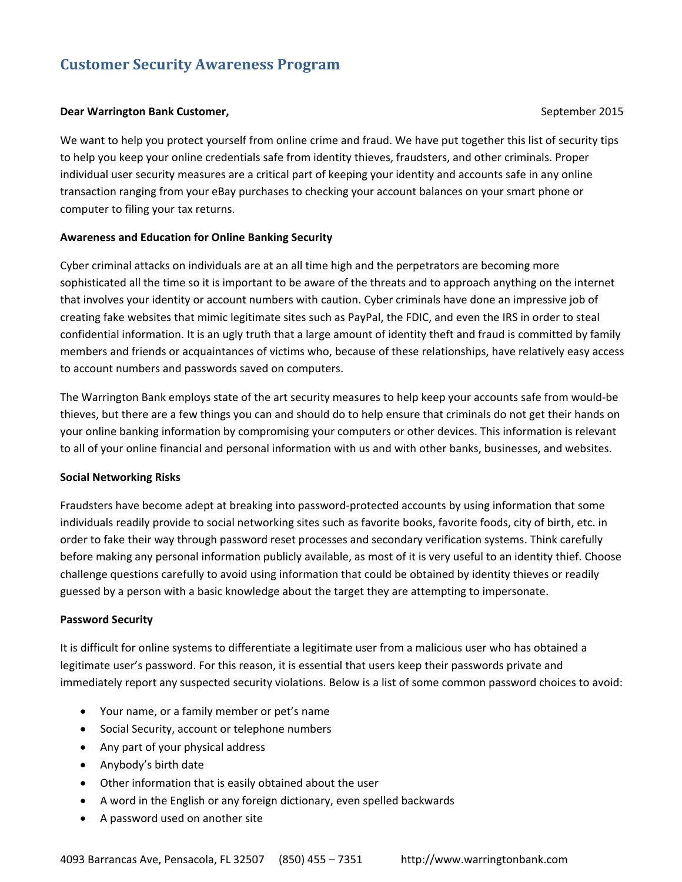# **Customer Security Awareness Program**

#### **Dear Warrington Bank Customer, September 2015**

We want to help you protect yourself from online crime and fraud. We have put together this list of security tips to help you keep your online credentials safe from identity thieves, fraudsters, and other criminals. Proper individual user security measures are a critical part of keeping your identity and accounts safe in any online transaction ranging from your eBay purchases to checking your account balances on your smart phone or computer to filing your tax returns.

### **Awareness and Education for Online Banking Security**

Cyber criminal attacks on individuals are at an all time high and the perpetrators are becoming more sophisticated all the time so it is important to be aware of the threats and to approach anything on the internet that involves your identity or account numbers with caution. Cyber criminals have done an impressive job of creating fake websites that mimic legitimate sites such as PayPal, the FDIC, and even the IRS in order to steal confidential information. It is an ugly truth that a large amount of identity theft and fraud is committed by family members and friends or acquaintances of victims who, because of these relationships, have relatively easy access to account numbers and passwords saved on computers.

The Warrington Bank employs state of the art security measures to help keep your accounts safe from would‐be thieves, but there are a few things you can and should do to help ensure that criminals do not get their hands on your online banking information by compromising your computers or other devices. This information is relevant to all of your online financial and personal information with us and with other banks, businesses, and websites.

### **Social Networking Risks**

Fraudsters have become adept at breaking into password‐protected accounts by using information that some individuals readily provide to social networking sites such as favorite books, favorite foods, city of birth, etc. in order to fake their way through password reset processes and secondary verification systems. Think carefully before making any personal information publicly available, as most of it is very useful to an identity thief. Choose challenge questions carefully to avoid using information that could be obtained by identity thieves or readily guessed by a person with a basic knowledge about the target they are attempting to impersonate.

### **Password Security**

It is difficult for online systems to differentiate a legitimate user from a malicious user who has obtained a legitimate user's password. For this reason, it is essential that users keep their passwords private and immediately report any suspected security violations. Below is a list of some common password choices to avoid:

- Your name, or a family member or pet's name
- Social Security, account or telephone numbers
- Any part of your physical address
- Anybody's birth date
- Other information that is easily obtained about the user
- A word in the English or any foreign dictionary, even spelled backwards
- A password used on another site